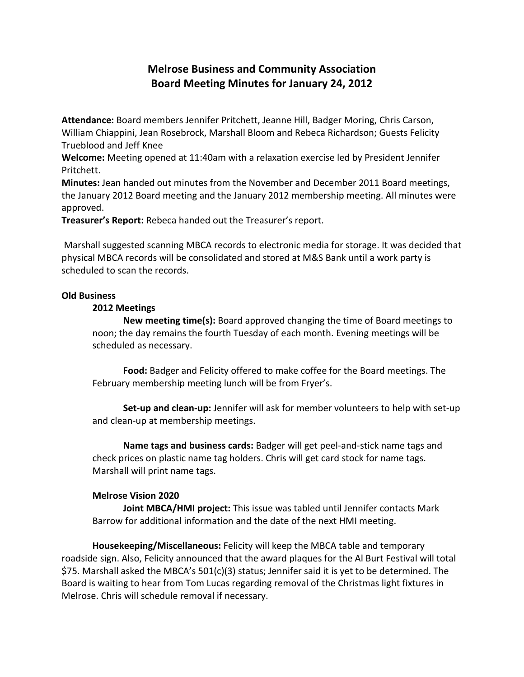# **Melrose Business and Community Association Board Meeting Minutes for January 24, 2012**

**Attendance:** Board members Jennifer Pritchett, Jeanne Hill, Badger Moring, Chris Carson, William Chiappini, Jean Rosebrock, Marshall Bloom and Rebeca Richardson; Guests Felicity Trueblood and Jeff Knee

**Welcome:** Meeting opened at 11:40am with a relaxation exercise led by President Jennifer Pritchett.

**Minutes:** Jean handed out minutes from the November and December 2011 Board meetings, the January 2012 Board meeting and the January 2012 membership meeting. All minutes were approved.

**Treasurer's Report:** Rebeca handed out the Treasurer's report.

Marshall suggested scanning MBCA records to electronic media for storage. It was decided that physical MBCA records will be consolidated and stored at M&S Bank until a work party is scheduled to scan the records.

# **Old Business**

# **2012 Meetings**

**New meeting time(s):** Board approved changing the time of Board meetings to noon; the day remains the fourth Tuesday of each month. Evening meetings will be scheduled as necessary.

**Food:** Badger and Felicity offered to make coffee for the Board meetings. The February membership meeting lunch will be from Fryer's.

**Set-up and clean-up:** Jennifer will ask for member volunteers to help with set-up and clean-up at membership meetings.

**Name tags and business cards:** Badger will get peel-and-stick name tags and check prices on plastic name tag holders. Chris will get card stock for name tags. Marshall will print name tags.

# **Melrose Vision 2020**

**Joint MBCA/HMI project:** This issue was tabled until Jennifer contacts Mark Barrow for additional information and the date of the next HMI meeting.

**Housekeeping/Miscellaneous:** Felicity will keep the MBCA table and temporary roadside sign. Also, Felicity announced that the award plaques for the Al Burt Festival will total \$75. Marshall asked the MBCA's 501(c)(3) status; Jennifer said it is yet to be determined. The Board is waiting to hear from Tom Lucas regarding removal of the Christmas light fixtures in Melrose. Chris will schedule removal if necessary.